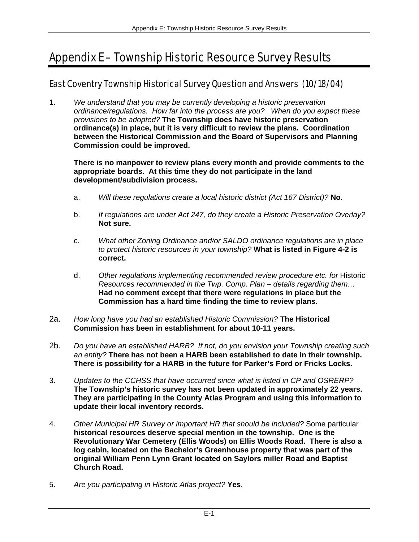# Appendix E – Township Historic Resource Survey Results

# East Coventry Township Historical Survey Question and Answers (10/18/04)

1. *We understand that you may be currently developing a historic preservation ordinance/regulations. How far into the process are you? When do you expect these provisions to be adopted?* **The Township does have historic preservation ordinance(s) in place, but it is very difficult to review the plans. Coordination between the Historical Commission and the Board of Supervisors and Planning Commission could be improved.** 

**There is no manpower to review plans every month and provide comments to the appropriate boards. At this time they do not participate in the land development/subdivision process.** 

- a. *Will these regulations create a local historic district (Act 167 District)?* **No**.
- b. *If regulations are under Act 247, do they create a Historic Preservation Overlay?* **Not sure.**
- c. *What other Zoning Ordinance and/or SALDO ordinance regulations are in place to protect historic resources in your township?* **What is listed in Figure 4-2 is correct.**
- d. *Other regulations implementing recommended review procedure etc. for* Historic *Resources recommended in the Twp. Comp. Plan – details regarding them…*  **Had no comment except that there were regulations in place but the Commission has a hard time finding the time to review plans.**
- 2a. *How long have you had an established Historic Commission?* **The Historical Commission has been in establishment for about 10-11 years.**
- 2b. *Do you have an established HARB? If not, do you envision your Township creating such an entity?* **There has not been a HARB been established to date in their township. There is possibility for a HARB in the future for Parker's Ford or Fricks Locks.**
- 3. *Updates to the CCHSS that have occurred since what is listed in CP and OSRERP?* **The Township's historic survey has not been updated in approximately 22 years. They are participating in the County Atlas Program and using this information to update their local inventory records.**
- 4. *Other Municipal HR Survey or important HR that should be included?* Some particular **historical resources deserve special mention in the township. One is the Revolutionary War Cemetery (Ellis Woods) on Ellis Woods Road. There is also a log cabin, located on the Bachelor's Greenhouse property that was part of the original William Penn Lynn Grant located on Saylors miller Road and Baptist Church Road.**
- 5. *Are you participating in Historic Atlas project?* **Yes**.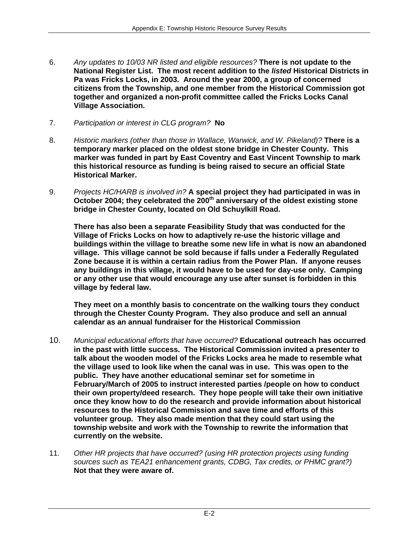- 6. *Any updates to 10/03 NR listed and eligible resources?* **There is not update to the National Register List. The most recent addition to the** *listed* **Historical Districts in Pa was Fricks Locks, in 2003. Around the year 2000, a group of concerned citizens from the Township, and one member from the Historical Commission got together and organized a non-profit committee called the Fricks Locks Canal Village Association.**
- 7. *Participation or interest in CLG program?* **No**
- 8. *Historic markers (other than those in Wallace, Warwick, and W. Pikeland)?* **There is a temporary marker placed on the oldest stone bridge in Chester County. This marker was funded in part by East Coventry and East Vincent Township to mark this historical resource as funding is being raised to secure an official State Historical Marker.**
- 9. *Projects HC/HARB is involved in?* **A special project they had participated in was in October 2004; they celebrated the 200th anniversary of the oldest existing stone bridge in Chester County, located on Old Schuylkill Road.**

**There has also been a separate Feasibility Study that was conducted for the Village of Fricks Locks on how to adaptively re-use the historic village and buildings within the village to breathe some new life in what is now an abandoned village. This village cannot be sold because if falls under a Federally Regulated Zone because it is within a certain radius from the Power Plan. If anyone reuses any buildings in this village, it would have to be used for day-use only. Camping or any other use that would encourage any use after sunset is forbidden in this village by federal law.** 

**They meet on a monthly basis to concentrate on the walking tours they conduct through the Chester County Program. They also produce and sell an annual calendar as an annual fundraiser for the Historical Commission** 

- 10. *Municipal educational efforts that have occurred?* **Educational outreach has occurred in the past with little success. The Historical Commission invited a presenter to talk about the wooden model of the Fricks Locks area he made to resemble what the village used to look like when the canal was in use. This was open to the public. They have another educational seminar set for sometime in February/March of 2005 to instruct interested parties /people on how to conduct their own property/deed research. They hope people will take their own initiative once they know how to do the research and provide information about historical resources to the Historical Commission and save time and efforts of this volunteer group. They also made mention that they could start using the township website and work with the Township to rewrite the information that currently on the website.**
- 11. *Other HR projects that have occurred? (using HR protection projects using funding sources such as TEA21 enhancement grants, CDBG, Tax credits, or PHMC grant?)* **Not that they were aware of.**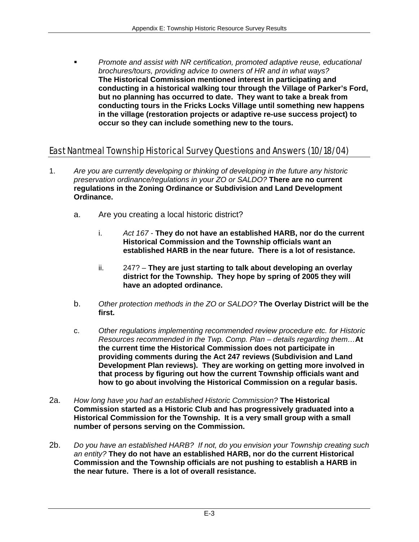*Promote and assist with NR certification, promoted adaptive reuse, educational brochures/tours, providing advice to owners of HR and in what ways?*  **The Historical Commission mentioned interest in participating and conducting in a historical walking tour through the Village of Parker's Ford, but no planning has occurred to date. They want to take a break from conducting tours in the Fricks Locks Village until something new happens in the village (restoration projects or adaptive re-use success project) to occur so they can include something new to the tours.** 

## East Nantmeal Township Historical Survey Questions and Answers (10/18/04)

- 1. *Are you are currently developing or thinking of developing in the future any historic preservation ordinance/regulations in your ZO or SALDO?* **There are no current regulations in the Zoning Ordinance or Subdivision and Land Development Ordinance.** 
	- a. Are you creating a local historic district?
		- i. *Act 167* **They do not have an established HARB, nor do the current Historical Commission and the Township officials want an established HARB in the near future. There is a lot of resistance.**
		- ii. 247? **They are just starting to talk about developing an overlay district for the Township. They hope by spring of 2005 they will have an adopted ordinance.**
	- b. *Other protection methods in the ZO or SALDO?* **The Overlay District will be the first.**
	- c. *Other regulations implementing recommended review procedure etc. for Historic Resources recommended in the Twp. Comp. Plan – details regarding them…***At the current time the Historical Commission does not participate in providing comments during the Act 247 reviews (Subdivision and Land Development Plan reviews). They are working on getting more involved in that process by figuring out how the current Township officials want and how to go about involving the Historical Commission on a regular basis.**
- 2a. *How long have you had an established Historic Commission?* **The Historical Commission started as a Historic Club and has progressively graduated into a Historical Commission for the Township. It is a very small group with a small number of persons serving on the Commission.**
- 2b. *Do you have an established HARB? If not, do you envision your Township creating such an entity?* **They do not have an established HARB, nor do the current Historical Commission and the Township officials are not pushing to establish a HARB in the near future. There is a lot of overall resistance.**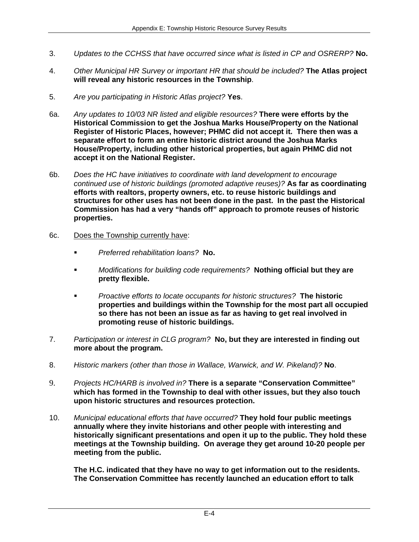- 3. *Updates to the CCHSS that have occurred since what is listed in CP and OSRERP?* **No.**
- 4. *Other Municipal HR Survey or important HR that should be included?* **The Atlas project will reveal any historic resources in the Township**.
- 5. *Are you participating in Historic Atlas project?* **Yes**.
- 6a. *Any updates to 10/03 NR listed and eligible resources?* **There were efforts by the Historical Commission to get the Joshua Marks House/Property on the National Register of Historic Places, however; PHMC did not accept it. There then was a separate effort to form an entire historic district around the Joshua Marks House/Property, including other historical properties, but again PHMC did not accept it on the National Register.**
- 6b. *Does the HC have initiatives to coordinate with land development to encourage continued use of historic buildings (promoted adaptive reuses)?* **As far as coordinating efforts with realtors, property owners, etc. to reuse historic buildings and structures for other uses has not been done in the past. In the past the Historical Commission has had a very "hands off" approach to promote reuses of historic properties.**
- 6c. Does the Township currently have:
	- *Preferred rehabilitation loans?* **No.**
	- *Modifications for building code requirements?* **Nothing official but they are pretty flexible.**
	- *Proactive efforts to locate occupants for historic structures?* **The historic properties and buildings within the Township for the most part all occupied so there has not been an issue as far as having to get real involved in promoting reuse of historic buildings.**
- 7. *Participation or interest in CLG program?* **No, but they are interested in finding out more about the program.**
- 8. *Historic markers (other than those in Wallace, Warwick, and W. Pikeland)?* **No**.
- 9. *Projects HC/HARB is involved in?* **There is a separate "Conservation Committee" which has formed in the Township to deal with other issues, but they also touch upon historic structures and resources protection.**
- 10. *Municipal educational efforts that have occurred?* **They hold four public meetings annually where they invite historians and other people with interesting and historically significant presentations and open it up to the public. They hold these meetings at the Township building. On average they get around 10-20 people per meeting from the public.**

**The H.C. indicated that they have no way to get information out to the residents. The Conservation Committee has recently launched an education effort to talk**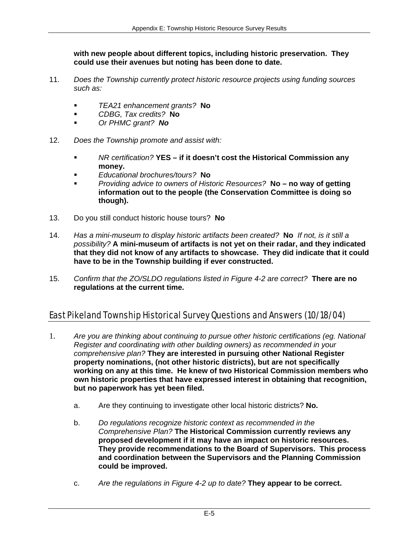**with new people about different topics, including historic preservation. They could use their avenues but noting has been done to date.** 

- 11. *Does the Township currently protect historic resource projects using funding sources such as:*
	- *TEA21 enhancement grants?* **No**
	- *CDBG, Tax credits?* **No**
	- *Or PHMC grant? No*
- 12. *Does the Township promote and assist with:*
	- *NR certification?* **YES if it doesn't cost the Historical Commission any money.**
	- *Educational brochures/tours?* **No**
	- *Providing advice to owners of Historic Resources?* **No no way of getting information out to the people (the Conservation Committee is doing so though).**
- 13. Do you still conduct historic house tours? **No**
- 14. *Has a mini-museum to display historic artifacts been created?* **No** *If not, is it still a possibility?* **A mini-museum of artifacts is not yet on their radar, and they indicated that they did not know of any artifacts to showcase. They did indicate that it could have to be in the Township building if ever constructed.**
- 15. *Confirm that the ZO/SLDO regulations listed in Figure 4-2 are correct?* **There are no regulations at the current time.**

# East Pikeland Township Historical Survey Questions and Answers (10/18/04)

- 1. *Are you are thinking about continuing to pursue other historic certifications (eg. National Register and coordinating with other building owners) as recommended in your comprehensive plan?* **They are interested in pursuing other National Register property nominations, (not other historic districts), but are not specifically working on any at this time. He knew of two Historical Commission members who own historic properties that have expressed interest in obtaining that recognition, but no paperwork has yet been filed.** 
	- a. Are they continuing to investigate other local historic districts? **No.**
	- b. *Do regulations recognize historic context as recommended in the Comprehensive Plan?* **The Historical Commission currently reviews any proposed development if it may have an impact on historic resources. They provide recommendations to the Board of Supervisors. This process and coordination between the Supervisors and the Planning Commission could be improved.**
	- c. *Are the regulations in Figure 4-2 up to date?* **They appear to be correct.**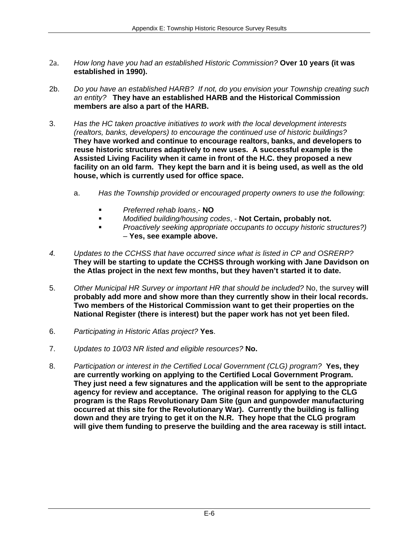- 2a. *How long have you had an established Historic Commission?* **Over 10 years (it was established in 1990).**
- 2b. *Do you have an established HARB? If not, do you envision your Township creating such an entity?* **They have an established HARB and the Historical Commission members are also a part of the HARB.**
- 3. *Has the HC taken proactive initiatives to work with the local development interests (realtors, banks, developers) to encourage the continued use of historic buildings?* **They have worked and continue to encourage realtors, banks, and developers to reuse historic structures adaptively to new uses. A successful example is the Assisted Living Facility when it came in front of the H.C. they proposed a new facility on an old farm. They kept the barn and it is being used, as well as the old house, which is currently used for office space.** 
	- a. *Has the Township provided or encouraged property owners to use the following*:
		- *Preferred rehab loans*,- **NO**
		- *Modified building/housing codes*, **Not Certain, probably not.**
		- *Proactively seeking appropriate occupants to occupy historic structures?)*  – **Yes, see example above.**
- *4. Updates to the CCHSS that have occurred since what is listed in CP and OSRERP?*  **They will be starting to update the CCHSS through working with Jane Davidson on the Atlas project in the next few months, but they haven't started it to date.**
- 5. *Other Municipal HR Survey or important HR that should be included?* No, the survey **will probably add more and show more than they currently show in their local records. Two members of the Historical Commission want to get their properties on the National Register (there is interest) but the paper work has not yet been filed.**
- 6. *Participating in Historic Atlas project?* **Yes**.
- 7. *Updates to 10/03 NR listed and eligible resources?* **No.**
- 8. *Participation or interest in the Certified Local Government (CLG) program?* **Yes, they are currently working on applying to the Certified Local Government Program. They just need a few signatures and the application will be sent to the appropriate agency for review and acceptance. The original reason for applying to the CLG program is the Raps Revolutionary Dam Site (gun and gunpowder manufacturing occurred at this site for the Revolutionary War). Currently the building is falling down and they are trying to get it on the N.R. They hope that the CLG program will give them funding to preserve the building and the area raceway is still intact.**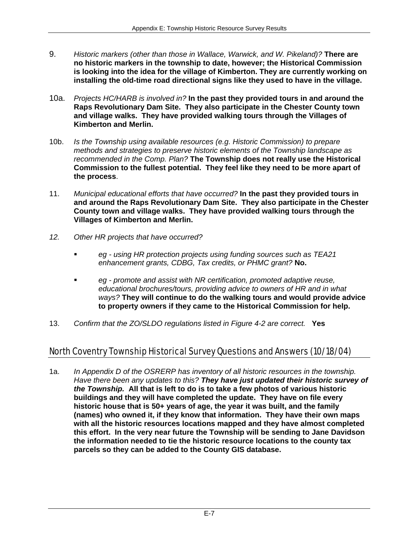- 9. *Historic markers (other than those in Wallace, Warwick, and W. Pikeland)?* **There are no historic markers in the township to date, however; the Historical Commission is looking into the idea for the village of Kimberton. They are currently working on installing the old-time road directional signs like they used to have in the village.**
- 10a. *Projects HC/HARB is involved in?* **In the past they provided tours in and around the Raps Revolutionary Dam Site. They also participate in the Chester County town and village walks. They have provided walking tours through the Villages of Kimberton and Merlin.**
- 10b. *Is the Township using available resources (e.g. Historic Commission) to prepare methods and strategies to preserve historic elements of the Township landscape as recommended in the Comp. Plan?* **The Township does not really use the Historical Commission to the fullest potential. They feel like they need to be more apart of the process**.
- 11. *Municipal educational efforts that have occurred?* **In the past they provided tours in and around the Raps Revolutionary Dam Site. They also participate in the Chester County town and village walks. They have provided walking tours through the Villages of Kimberton and Merlin.**
- *12. Other HR projects that have occurred?* 
	- *eg using HR protection projects using funding sources such as TEA21 enhancement grants, CDBG, Tax credits, or PHMC grant?* **No.**
	- *eg promote and assist with NR certification, promoted adaptive reuse, educational brochures/tours, providing advice to owners of HR and in what ways?* **They will continue to do the walking tours and would provide advice to property owners if they came to the Historical Commission for help.**
- 13. *Confirm that the ZO/SLDO regulations listed in Figure 4-2 are correct.* **Yes**

# North Coventry Township Historical Survey Questions and Answers (10/18/04)

1a. *In Appendix D of the OSRERP has inventory of all historic resources in the township. Have there been any updates to this? They have just updated their historic survey of the Township.* **All that is left to do is to take a few photos of various historic buildings and they will have completed the update. They have on file every historic house that is 50+ years of age, the year it was built, and the family (names) who owned it, if they know that information. They have their own maps with all the historic resources locations mapped and they have almost completed this effort. In the very near future the Township will be sending to Jane Davidson the information needed to tie the historic resource locations to the county tax parcels so they can be added to the County GIS database.**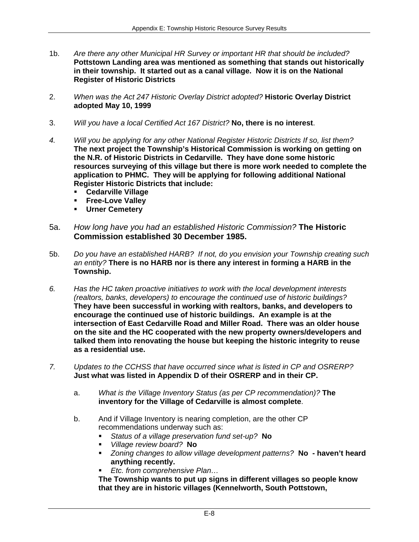- 1b. *Are there any other Municipal HR Survey or important HR that should be included?* **Pottstown Landing area was mentioned as something that stands out historically in their township. It started out as a canal village. Now it is on the National Register of Historic Districts**
- 2. *When was the Act 247 Historic Overlay District adopted?* **Historic Overlay District adopted May 10, 1999**
- 3. *Will you have a local Certified Act 167 District?* **No, there is no interest**.
- *4. Will you be applying for any other National Register Historic Districts If so, list them?*  **The next project the Township's Historical Commission is working on getting on the N.R. of Historic Districts in Cedarville. They have done some historic resources surveying of this village but there is more work needed to complete the application to PHMC. They will be applying for following additional National Register Historic Districts that include:** 
	- **Cedarville Village**
	- **Free-Love Valley**
	- **Urner Cemetery**
- 5a. *How long have you had an established Historic Commission?* **The Historic Commission established 30 December 1985.**
- 5b. *Do you have an established HARB? If not, do you envision your Township creating such an entity?* **There is no HARB nor is there any interest in forming a HARB in the Township.**
- *6. Has the HC taken proactive initiatives to work with the local development interests (realtors, banks, developers) to encourage the continued use of historic buildings?*  **They have been successful in working with realtors, banks, and developers to encourage the continued use of historic buildings. An example is at the intersection of East Cedarville Road and Miller Road. There was an older house on the site and the HC cooperated with the new property owners/developers and talked them into renovating the house but keeping the historic integrity to reuse as a residential use.**
- *7. Updates to the CCHSS that have occurred since what is listed in CP and OSRERP?*  **Just what was listed in Appendix D of their OSRERP and in their CP.** 
	- a. *What is the Village Inventory Status (as per CP recommendation)?* **The inventory for the Village of Cedarville is almost complete**.
	- b. And if Village Inventory is nearing completion, are the other CP recommendations underway such as:
		- *Status of a village preservation fund set-up?* **No**
		- *Village review board?* **No**
		- *Zoning changes to allow village development patterns?* **No haven't heard anything recently.**
		- *Etc. from comprehensive Plan…*

**The Township wants to put up signs in different villages so people know that they are in historic villages (Kennelworth, South Pottstown,**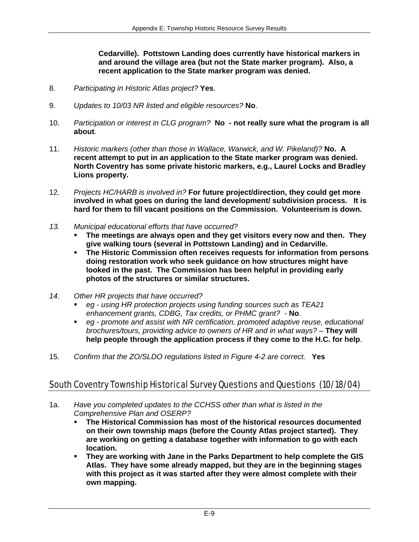**Cedarville). Pottstown Landing does currently have historical markers in and around the village area (but not the State marker program). Also, a recent application to the State marker program was denied.** 

- 8. *Participating in Historic Atlas project?* **Yes**.
- 9. *Updates to 10/03 NR listed and eligible resources?* **No**.
- 10. *Participation or interest in CLG program?* **No not really sure what the program is all about**.
- 11. *Historic markers (other than those in Wallace, Warwick, and W. Pikeland)?* **No. A recent attempt to put in an application to the State marker program was denied. North Coventry has some private historic markers, e.g., Laurel Locks and Bradley Lions property.**
- 12. *Projects HC/HARB is involved in?* **For future project/direction, they could get more involved in what goes on during the land development/ subdivision process. It is hard for them to fill vacant positions on the Commission. Volunteerism is down.**
- *13. Municipal educational efforts that have occurred?* 
	- **The meetings are always open and they get visitors every now and then. They give walking tours (several in Pottstown Landing) and in Cedarville.**
	- **The Historic Commission often receives requests for information from persons doing restoration work who seek guidance on how structures might have looked in the past. The Commission has been helpful in providing early photos of the structures or similar structures.**
- *14. Other HR projects that have occurred?* 
	- *eg using HR protection projects using funding sources such as TEA21 enhancement grants, CDBG, Tax credits, or PHMC grant?* - **No**.
	- *eg promote and assist with NR certification, promoted adaptive reuse, educational brochures/tours, providing advice to owners of HR and in what ways?* – **They will help people through the application process if they come to the H.C. for help**.
- 15. *Confirm that the ZO/SLDO regulations listed in Figure 4-2 are correct.* **Yes**

### South Coventry Township Historical Survey Questions and Questions (10/18/04)

- 1a. *Have you completed updates to the CCHSS other than what is listed in the Comprehensive Plan and OSERP?* 
	- **The Historical Commission has most of the historical resources documented on their own township maps (before the County Atlas project started). They are working on getting a database together with information to go with each location.**
	- **They are working with Jane in the Parks Department to help complete the GIS Atlas. They have some already mapped, but they are in the beginning stages with this project as it was started after they were almost complete with their own mapping.**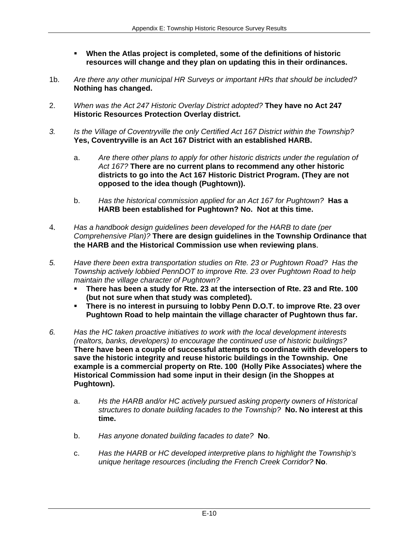- **When the Atlas project is completed, some of the definitions of historic resources will change and they plan on updating this in their ordinances.**
- 1b. *Are there any other municipal HR Surveys or important HRs that should be included?* **Nothing has changed.**
- 2. *When was the Act 247 Historic Overlay District adopted?* **They have no Act 247 Historic Resources Protection Overlay district.**
- *3. Is the Village of Coventryville the only Certified Act 167 District within the Township?*  **Yes, Coventryville is an Act 167 District with an established HARB.** 
	- a. *Are there other plans to apply for other historic districts under the regulation of Act 167?* **There are no current plans to recommend any other historic districts to go into the Act 167 Historic District Program. (They are not opposed to the idea though (Pughtown)).**
	- b. *Has the historical commission applied for an Act 167 for Pughtown?* **Has a HARB been established for Pughtown? No. Not at this time.**
- 4. *Has a handbook design guidelines been developed for the HARB to date (per Comprehensive Plan)?* **There are design guidelines in the Township Ordinance that the HARB and the Historical Commission use when reviewing plans**.
- *5. Have there been extra transportation studies on Rte. 23 or Pughtown Road? Has the Township actively lobbied PennDOT to improve Rte. 23 over Pughtown Road to help maintain the village character of Pughtown?* 
	- **There has been a study for Rte. 23 at the intersection of Rte. 23 and Rte. 100 (but not sure when that study was completed).**
	- **There is no interest in pursuing to lobby Penn D.O.T. to improve Rte. 23 over Pughtown Road to help maintain the village character of Pughtown thus far.**
- *6. Has the HC taken proactive initiatives to work with the local development interests (realtors, banks, developers) to encourage the continued use of historic buildings?*  **There have been a couple of successful attempts to coordinate with developers to save the historic integrity and reuse historic buildings in the Township. One example is a commercial property on Rte. 100 (Holly Pike Associates) where the Historical Commission had some input in their design (in the Shoppes at Pughtown).** 
	- a. *Hs the HARB and/or HC actively pursued asking property owners of Historical structures to donate building facades to the Township?* **No. No interest at this time.**
	- b. *Has anyone donated building facades to date?* **No**.
	- c. *Has the HARB or HC developed interpretive plans to highlight the Township's unique heritage resources (including the French Creek Corridor?* **No**.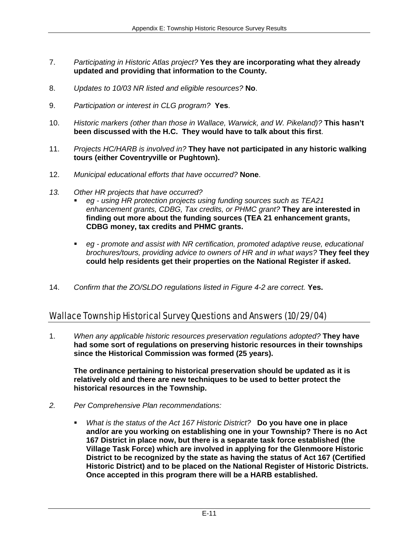- 7. *Participating in Historic Atlas project?* **Yes they are incorporating what they already updated and providing that information to the County.**
- 8. *Updates to 10/03 NR listed and eligible resources?* **No**.
- 9. *Participation or interest in CLG program?* **Yes**.
- 10. *Historic markers (other than those in Wallace, Warwick, and W. Pikeland)?* **This hasn't been discussed with the H.C. They would have to talk about this first**.
- 11. *Projects HC/HARB is involved in?* **They have not participated in any historic walking tours (either Coventryville or Pughtown).**
- 12. *Municipal educational efforts that have occurred?* **None**.
- *13. Other HR projects that have occurred?* 
	- *eg using HR protection projects using funding sources such as TEA21 enhancement grants, CDBG, Tax credits, or PHMC grant?* **They are interested in finding out more about the funding sources (TEA 21 enhancement grants, CDBG money, tax credits and PHMC grants.**
	- *eg promote and assist with NR certification, promoted adaptive reuse, educational brochures/tours, providing advice to owners of HR and in what ways?* **They feel they could help residents get their properties on the National Register if asked.**
- 14. *Confirm that the ZO/SLDO regulations listed in Figure 4-2 are correct.* **Yes.**

### Wallace Township Historical Survey Questions and Answers (10/29/04)

1. *When any applicable historic resources preservation regulations adopted?* **They have had some sort of regulations on preserving historic resources in their townships since the Historical Commission was formed (25 years).**

**The ordinance pertaining to historical preservation should be updated as it is relatively old and there are new techniques to be used to better protect the historical resources in the Township.** 

- *2. Per Comprehensive Plan recommendations:* 
	- *What is the status of the Act 167 Historic District?* **Do you have one in place and/or are you working on establishing one in your Township? There is no Act 167 District in place now, but there is a separate task force established (the Village Task Force) which are involved in applying for the Glenmoore Historic District to be recognized by the state as having the status of Act 167 (Certified Historic District) and to be placed on the National Register of Historic Districts. Once accepted in this program there will be a HARB established.**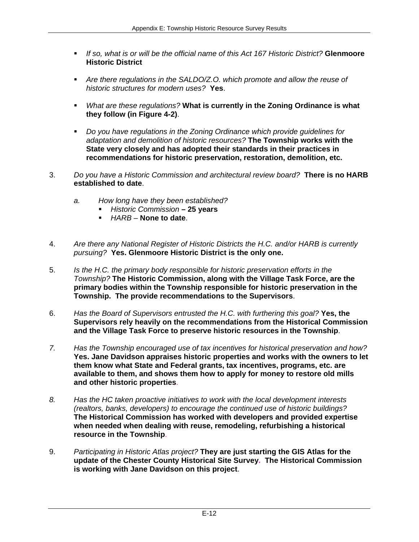- *If so, what is or will be the official name of this Act 167 Historic District?* **Glenmoore Historic District**
- *Are there regulations in the SALDO/Z.O. which promote and allow the reuse of historic structures for modern uses?* **Yes**.
- *What are these regulations?* **What is currently in the Zoning Ordinance is what they follow (in Figure 4-2)**.
- *Do you have regulations in the Zoning Ordinance which provide guidelines for adaptation and demolition of historic resources?* **The Township works with the State very closely and has adopted their standards in their practices in recommendations for historic preservation, restoration, demolition, etc.**
- 3. *Do you have a Historic Commission and architectural review board?* **There is no HARB established to date**.
	- *a. How long have they been established?* 
		- *Historic Commission*  **25 years**
		- *HARB* **None to date**.
- 4. *Are there any National Register of Historic Districts the H.C. and/or HARB is currently pursuing?* **Yes. Glenmoore Historic District is the only one.**
- 5. *Is the H.C. the primary body responsible for historic preservation efforts in the Township?* **The Historic Commission, along with the Village Task Force, are the primary bodies within the Township responsible for historic preservation in the Township. The provide recommendations to the Supervisors**.
- 6. *Has the Board of Supervisors entrusted the H.C. with furthering this goal?* **Yes, the Supervisors rely heavily on the recommendations from the Historical Commission and the Village Task Force to preserve historic resources in the Township**.
- *7. Has the Township encouraged use of tax incentives for historical preservation and how?*  **Yes. Jane Davidson appraises historic properties and works with the owners to let them know what State and Federal grants, tax incentives, programs, etc. are available to them, and shows them how to apply for money to restore old mills and other historic properties**.
- *8. Has the HC taken proactive initiatives to work with the local development interests (realtors, banks, developers) to encourage the continued use of historic buildings?*  **The Historical Commission has worked with developers and provided expertise when needed when dealing with reuse, remodeling, refurbishing a historical resource in the Township**.
- 9. *Participating in Historic Atlas project?* **They are just starting the GIS Atlas for the update of the Chester County Historical Site Survey. The Historical Commission is working with Jane Davidson on this project**.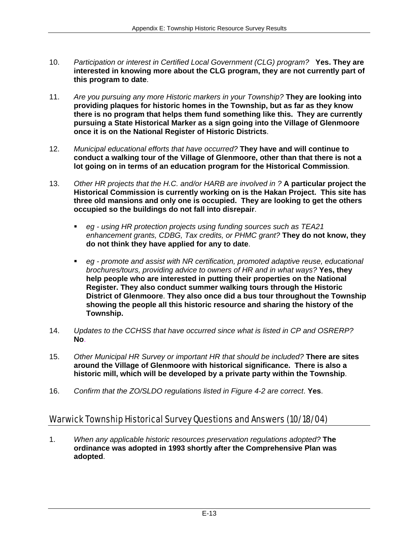- 10. *Participation or interest in Certified Local Government (CLG) program?* **Yes. They are interested in knowing more about the CLG program, they are not currently part of this program to date**.
- 11. *Are you pursuing any more Historic markers in your Township?* **They are looking into providing plaques for historic homes in the Township, but as far as they know there is no program that helps them fund something like this. They are currently pursuing a State Historical Marker as a sign going into the Village of Glenmoore once it is on the National Register of Historic Districts**.
- 12. *Municipal educational efforts that have occurred?* **They have and will continue to conduct a walking tour of the Village of Glenmoore, other than that there is not a lot going on in terms of an education program for the Historical Commission**.
- 13. *Other HR projects that the H.C. and/or HARB are involved in ?* **A particular project the Historical Commission is currently working on is the Hakan Project. This site has three old mansions and only one is occupied. They are looking to get the others occupied so the buildings do not fall into disrepair**.
	- *eg using HR protection projects using funding sources such as TEA21 enhancement grants, CDBG, Tax credits, or PHMC grant?* **They do not know, they do not think they have applied for any to date**.
	- **eg promote and assist with NR certification, promoted adaptive reuse, educational** *brochures/tours, providing advice to owners of HR and in what ways?* **Yes, they help people who are interested in putting their properties on the National Register. They also conduct summer walking tours through the Historic District of Glenmoore**. **They also once did a bus tour throughout the Township showing the people all this historic resource and sharing the history of the Township.**
- 14. *Updates to the CCHSS that have occurred since what is listed in CP and OSRERP?* **No**.
- 15. *Other Municipal HR Survey or important HR that should be included?* **There are sites around the Village of Glenmoore with historical significance. There is also a historic mill, which will be developed by a private party within the Township**.
- 16. *Confirm that the ZO/SLDO regulations listed in Figure 4-2 are correct*. **Yes**.

# Warwick Township Historical Survey Questions and Answers (10/18/04)

1. *When any applicable historic resources preservation regulations adopted?* **The ordinance was adopted in 1993 shortly after the Comprehensive Plan was adopted**.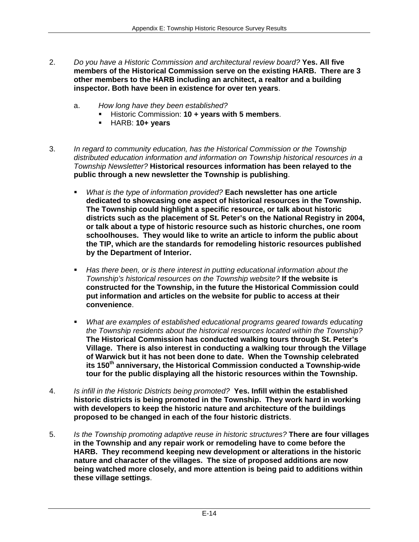- 2. *Do you have a Historic Commission and architectural review board?* **Yes. All five members of the Historical Commission serve on the existing HARB. There are 3 other members to the HARB including an architect, a realtor and a building inspector. Both have been in existence for over ten years**.
	- a. *How long have they been established?*
		- Historic Commission: **10 + years with 5 members**.
		- HARB: **10+ years**
- 3. *In regard to community education, has the Historical Commission or the Township distributed education information and information on Township historical resources in a Township Newsletter?* **Historical resources information has been relayed to the public through a new newsletter the Township is publishing**.
	- *What is the type of information provided?* **Each newsletter has one article dedicated to showcasing one aspect of historical resources in the Township. The Township could highlight a specific resource, or talk about historic districts such as the placement of St. Peter's on the National Registry in 2004, or talk about a type of historic resource such as historic churches, one room schoolhouses. They would like to write an article to inform the public about the TIP, which are the standards for remodeling historic resources published by the Department of Interior.**
	- *Has there been, or is there interest in putting educational information about the Township's historical resources on the Township website?* **If the website is constructed for the Township, in the future the Historical Commission could put information and articles on the website for public to access at their convenience**.
	- *What are examples of established educational programs geared towards educating the Township residents about the historical resources located within the Township?* **The Historical Commission has conducted walking tours through St. Peter's Village. There is also interest in conducting a walking tour through the Village of Warwick but it has not been done to date. When the Township celebrated its 150th anniversary, the Historical Commission conducted a Township-wide tour for the public displaying all the historic resources within the Township.**
- 4. *Is infill in the Historic Districts being promoted?* **Yes. Infill within the established historic districts is being promoted in the Township. They work hard in working with developers to keep the historic nature and architecture of the buildings proposed to be changed in each of the four historic districts**.
- 5. *Is the Township promoting adaptive reuse in historic structures?* **There are four villages in the Township and any repair work or remodeling have to come before the HARB. They recommend keeping new development or alterations in the historic nature and character of the villages. The size of proposed additions are now being watched more closely, and more attention is being paid to additions within these village settings**.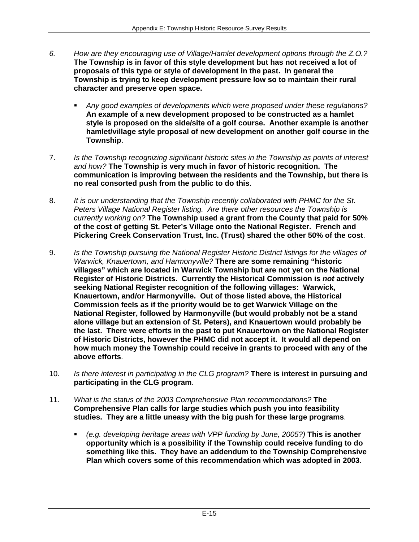- *6. How are they encouraging use of Village/Hamlet development options through the Z.O.?*  **The Township is in favor of this style development but has not received a lot of proposals of this type or style of development in the past. In general the Township is trying to keep development pressure low so to maintain their rural character and preserve open space.** 
	- *Any good examples of developments which were proposed under these regulations?* **An example of a new development proposed to be constructed as a hamlet style is proposed on the side/site of a golf course. Another example is another hamlet/village style proposal of new development on another golf course in the Township**.
- 7. *Is the Township recognizing significant historic sites in the Township as points of interest and how?* **The Township is very much in favor of historic recognition. The communication is improving between the residents and the Township, but there is no real consorted push from the public to do this**.
- 8. *It is our understanding that the Township recently collaborated with PHMC for the St. Peters Village National Register listing. Are there other resources the Township is currently working on?* **The Township used a grant from the County that paid for 50% of the cost of getting St. Peter's Village onto the National Register. French and Pickering Creek Conservation Trust, Inc. (Trust) shared the other 50% of the cost**.
- 9. *Is the Township pursuing the National Register Historic District listings for the villages of Warwick, Knauertown, and Harmonyville?* **There are some remaining "historic villages" which are located in Warwick Township but are not yet on the National Register of Historic Districts. Currently the Historical Commission is** *not* **actively seeking National Register recognition of the following villages: Warwick, Knauertown, and/or Harmonyville. Out of those listed above, the Historical Commission feels as if the priority would be to get Warwick Village on the National Register, followed by Harmonyville (but would probably not be a stand alone village but an extension of St. Peters), and Knauertown would probably be the last. There were efforts in the past to put Knauertown on the National Register of Historic Districts, however the PHMC did not accept it. It would all depend on how much money the Township could receive in grants to proceed with any of the above efforts**.
- 10. *Is there interest in participating in the CLG program?* **There is interest in pursuing and participating in the CLG program**.
- 11. *What is the status of the 2003 Comprehensive Plan recommendations?* **The Comprehensive Plan calls for large studies which push you into feasibility studies. They are a little uneasy with the big push for these large programs**.
	- *(e.g. developing heritage areas with VPP funding by June, 2005?)* **This is another opportunity which is a possibility if the Township could receive funding to do something like this. They have an addendum to the Township Comprehensive Plan which covers some of this recommendation which was adopted in 2003**.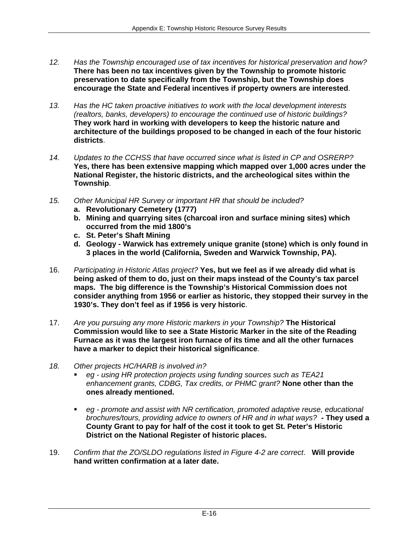- *12. Has the Township encouraged use of tax incentives for historical preservation and how?*  **There has been no tax incentives given by the Township to promote historic preservation to date specifically from the Township, but the Township does encourage the State and Federal incentives if property owners are interested**.
- *13. Has the HC taken proactive initiatives to work with the local development interests (realtors, banks, developers) to encourage the continued use of historic buildings?*  **They work hard in working with developers to keep the historic nature and architecture of the buildings proposed to be changed in each of the four historic districts**.
- *14. Updates to the CCHSS that have occurred since what is listed in CP and OSRERP?*  **Yes, there has been extensive mapping which mapped over 1,000 acres under the National Register, the historic districts, and the archeological sites within the Township**.
- *15. Other Municipal HR Survey or important HR that should be included?* 
	- **a. Revolutionary Cemetery (1777)**
	- **b. Mining and quarrying sites (charcoal iron and surface mining sites) which occurred from the mid 1800's**
	- **c. St. Peter's Shaft Mining**
	- **d. Geology Warwick has extremely unique granite (stone) which is only found in 3 places in the world (California, Sweden and Warwick Township, PA).**
- 16. *Participating in Historic Atlas project?* **Yes, but we feel as if we already did what is being asked of them to do, just on their maps instead of the County's tax parcel maps. The big difference is the Township's Historical Commission does not consider anything from 1956 or earlier as historic, they stopped their survey in the 1930's. They don't feel as if 1956 is very historic**.
- 17. *Are you pursuing any more Historic markers in your Township?* **The Historical Commission would like to see a State Historic Marker in the site of the Reading Furnace as it was the largest iron furnace of its time and all the other furnaces have a marker to depict their historical significance**.
- *18. Other projects HC/HARB is involved in?* 
	- *eg using HR protection projects using funding sources such as TEA21 enhancement grants, CDBG, Tax credits, or PHMC grant?* **None other than the ones already mentioned.**
	- **•** eg promote and assist with NR certification, promoted adaptive reuse, educational *brochures/tours, providing advice to owners of HR and in what ways?* **- They used a County Grant to pay for half of the cost it took to get St. Peter's Historic District on the National Register of historic places.**
- 19. *Confirm that the ZO/SLDO regulations listed in Figure 4-2 are correct*. **Will provide hand written confirmation at a later date.**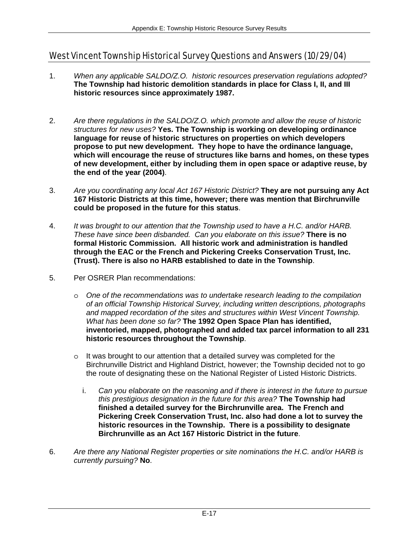# West Vincent Township Historical Survey Questions and Answers (10/29/04)

- 1. *When any applicable SALDO/Z.O. historic resources preservation regulations adopted?* **The Township had historic demolition standards in place for Class I, II, and III historic resources since approximately 1987.**
- 2. *Are there regulations in the SALDO/Z.O. which promote and allow the reuse of historic structures for new uses?* **Yes. The Township is working on developing ordinance language for reuse of historic structures on properties on which developers propose to put new development. They hope to have the ordinance language, which will encourage the reuse of structures like barns and homes, on these types of new development, either by including them in open space or adaptive reuse, by the end of the year (2004)**.
- 3. *Are you coordinating any local Act 167 Historic District?* **They are not pursuing any Act 167 Historic Districts at this time, however; there was mention that Birchrunville could be proposed in the future for this status**.
- 4. *It was brought to our attention that the Township used to have a H.C. and/or HARB. These have since been disbanded. Can you elaborate on this issue?* **There is no formal Historic Commission. All historic work and administration is handled through the EAC or the French and Pickering Creeks Conservation Trust, Inc. (Trust). There is also no HARB established to date in the Township**.
- 5. Per OSRER Plan recommendations:
	- o *One of the recommendations was to undertake research leading to the compilation of an official Township Historical Survey, including written descriptions, photographs and mapped recordation of the sites and structures within West Vincent Township. What has been done so far?* **The 1992 Open Space Plan has identified, inventoried, mapped, photographed and added tax parcel information to all 231 historic resources throughout the Township**.
	- $\circ$  It was brought to our attention that a detailed survey was completed for the Birchrunville District and Highland District, however; the Township decided not to go the route of designating these on the National Register of Listed Historic Districts.
		- i. *Can you elaborate on the reasoning and if there is interest in the future to pursue this prestigious designation in the future for this area?* **The Township had finished a detailed survey for the Birchrunville area. The French and Pickering Creek Conservation Trust, Inc. also had done a lot to survey the historic resources in the Township. There is a possibility to designate Birchrunville as an Act 167 Historic District in the future**.
- 6. *Are there any National Register properties or site nominations the H.C. and/or HARB is currently pursuing?* **No**.